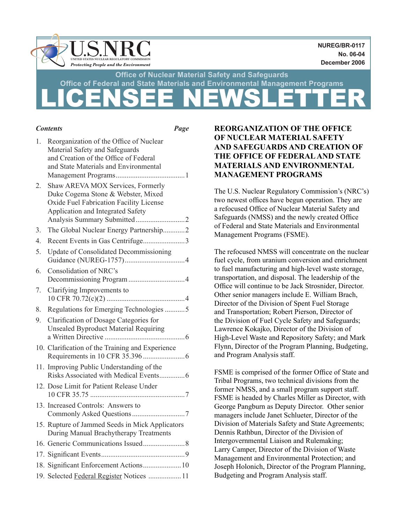

|    | <b>Contents</b><br>Page                                                                                                                                     |  |
|----|-------------------------------------------------------------------------------------------------------------------------------------------------------------|--|
| 1. | Reorganization of the Office of Nuclear<br>Material Safety and Safeguards<br>and Creation of the Office of Federal<br>and State Materials and Environmental |  |
| 2. | Shaw AREVA MOX Services, Formerly<br>Duke Cogema Stone & Webster, Mixed<br>Oxide Fuel Fabrication Facility License<br>Application and Integrated Safety     |  |
| 3. | The Global Nuclear Energy Partnership2                                                                                                                      |  |
| 4. |                                                                                                                                                             |  |
| 5. | <b>Update of Consolidated Decommissioning</b>                                                                                                               |  |
| 6. | Consolidation of NRC's                                                                                                                                      |  |
| 7. | Clarifying Improvements to                                                                                                                                  |  |
| 8. | Regulations for Emerging Technologies 5                                                                                                                     |  |
| 9. | Clarification of Dosage Categories for<br><b>Unsealed Byproduct Material Requiring</b>                                                                      |  |
|    | 10. Clarification of the Training and Experience                                                                                                            |  |
|    | 11. Improving Public Understanding of the<br>Risks Associated with Medical Events 6                                                                         |  |
|    | 12. Dose Limit for Patient Release Under                                                                                                                    |  |
|    | 13. Increased Controls: Answers to                                                                                                                          |  |
|    | 15. Rupture of Jammed Seeds in Mick Applicators<br>During Manual Brachytherapy Treatments                                                                   |  |
|    |                                                                                                                                                             |  |
|    |                                                                                                                                                             |  |
|    | 18. Significant Enforcement Actions 10                                                                                                                      |  |
|    | 19. Selected Federal Register Notices  11                                                                                                                   |  |

# **REORGANIZATION OF THE OFFICE OF NUCLEAR MATERIAL SAFETY AND SAFEGUARDS AND CREATION OF THE OFFICE OF FEDERAL AND STATE MATERIALS AND ENVIRONMENTAL MANAGEMENT PROGRAMS**

The U.S. Nuclear Regulatory Commission's (NRC's) two newest offices have begun operation. They are a refocused Office of Nuclear Material Safety and Safeguards (NMSS) and the newly created Office of Federal and State Materials and Environmental Management Programs (FSME).

The refocused NMSS will concentrate on the nuclear fuel cycle, from uranium conversion and enrichment to fuel manufacturing and high-level waste storage, transportation, and disposal. The leadership of the Office will continue to be Jack Strosnider, Director. Other senior managers include E. William Brach, Director of the Division of Spent Fuel Storage and Transportation; Robert Pierson, Director of the Division of Fuel Cycle Safety and Safeguards; Lawrence Kokajko, Director of the Division of High-Level Waste and Repository Safety; and Mark Flynn, Director of the Program Planning, Budgeting, and Program Analysis staff.

FSME is comprised of the former Office of State and Tribal Programs, two technical divisions from the former NMSS, and a small program support staff. FSME is headed by Charles Miller as Director, with George Pangburn as Deputy Director. Other senior managers include Janet Schlueter, Director of the Division of Materials Safety and State Agreements; Dennis Rathbun, Director of the Division of Intergovernmental Liaison and Rulemaking; Larry Camper, Director of the Division of Waste Management and Environmental Protection; and Joseph Holonich, Director of the Program Planning, Budgeting and Program Analysis staff.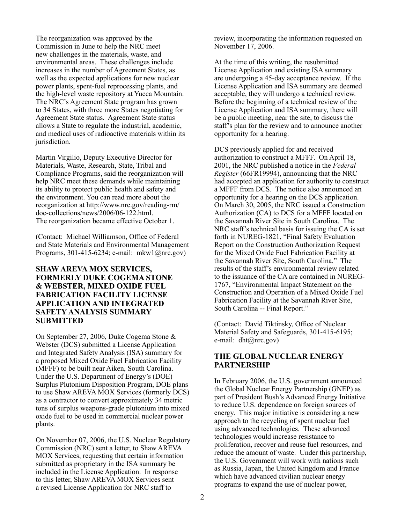The reorganization was approved by the Commission in June to help the NRC meet new challenges in the materials, waste, and environmental areas. These challenges include increases in the number of Agreement States, as well as the expected applications for new nuclear power plants, spent-fuel reprocessing plants, and the high-level waste repository at Yucca Mountain. The NRC's Agreement State program has grown to 34 States, with three more States negotiating for Agreement State status. Agreement State status allows a State to regulate the industrial, academic, and medical uses of radioactive materials within its jurisdiction.

Martin Virgilio, Deputy Executive Director for Materials, Waste, Research, State, Tribal and Compliance Programs, said the reorganization will help NRC meet these demands while maintaining its ability to protect public health and safety and the environment. You can read more about the reorganization at http://www.nrc.gov/reading-rm/ doc-collections/news/2006/06-122.html. The reorganization became effective October 1.

(Contact: Michael Williamson, Office of Federal and State Materials and Environmental Management Programs, 301-415-6234; e-mail: mkw1@nrc.gov)

### **SHAW AREVA MOX SERVICES, FORMERLY DUKE COGEMA STONE & WEBSTER, MIXED OXIDE FUEL FABRICATION FACILITY LICENSE APPLICATION AND INTEGRATED SAFETY ANALYSIS SUMMARY SUBMITTED**

On September 27, 2006, Duke Cogema Stone & Webster (DCS) submitted a License Application and Integrated Safety Analysis (ISA) summary for a proposed Mixed Oxide Fuel Fabrication Facility (MFFF) to be built near Aiken, South Carolina. Under the U.S. Department of Energy's (DOE) Surplus Plutonium Disposition Program, DOE plans to use Shaw AREVA MOX Services (formerly DCS) as a contractor to convert approximately 34 metric tons of surplus weapons-grade plutonium into mixed oxide fuel to be used in commercial nuclear power plants.

On November 07, 2006, the U.S. Nuclear Regulatory Commission (NRC) sent a letter, to Shaw AREVA MOX Services, requesting that certain information submitted as proprietary in the ISA summary be included in the License Application. In response to this letter, Shaw AREVA MOX Services sent a revised License Application for NRC staff to

review, incorporating the information requested on November 17, 2006.

At the time of this writing, the resubmitted License Application and existing ISA summary are undergoing a 45-day acceptance review. If the License Application and ISA summary are deemed acceptable, they will undergo a technical review. Before the beginning of a technical review of the License Application and ISA summary, there will be a public meeting, near the site, to discuss the staff's plan for the review and to announce another opportunity for a hearing.

DCS previously applied for and received authorization to construct a MFFF. On April 18, 2001, the NRC published a notice in the *Federal Register* (66FR19994), announcing that the NRC had accepted an application for authority to construct a MFFF from DCS. The notice also announced an opportunity for a hearing on the DCS application. On March 30, 2005, the NRC issued a Construction Authorization (CA) to DCS for a MFFF located on the Savannah River Site in South Carolina. The NRC staff's technical basis for issuing the CA is set forth in NUREG-1821, "Final Safety Evaluation Report on the Construction Authorization Request for the Mixed Oxide Fuel Fabrication Facility at the Savannah River Site, South Carolina." The results of the staff's environmental review related to the issuance of the CA are contained in NUREG-1767, "Environmental Impact Statement on the Construction and Operation of a Mixed Oxide Fuel Fabrication Facility at the Savannah River Site, South Carolina -- Final Report."

(Contact: David Tiktinsky, Office of Nuclear Material Safety and Safeguards, 301-415-6195; e-mail: dht@nrc.gov)

## **THE GLOBAL NUCLEAR ENERGY PARTNERSHIP**

In February 2006, the U.S. government announced the Global Nuclear Energy Partnership (GNEP) as part of President Bush's Advanced Energy Initiative to reduce U.S. dependence on foreign sources of energy. This major initiative is considering a new approach to the recycling of spent nuclear fuel using advanced technologies. These advanced technologies would increase resistance to proliferation, recover and reuse fuel resources, and reduce the amount of waste. Under this partnership, the U.S. Government will work with nations such as Russia, Japan, the United Kingdom and France which have advanced civilian nuclear energy programs to expand the use of nuclear power,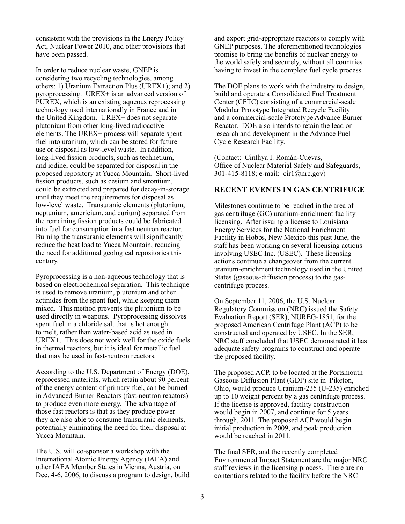consistent with the provisions in the Energy Policy Act, Nuclear Power 2010, and other provisions that have been passed.

In order to reduce nuclear waste, GNEP is considering two recycling technologies, among others: 1) Uranium Extraction Plus (UREX+); and 2) pyroprocessing. UREX+ is an advanced version of PUREX, which is an existing aqueous reprocessing technology used internationally in France and in the United Kingdom. UREX+ does not separate plutonium from other long-lived radioactive elements. The UREX+ process will separate spent fuel into uranium, which can be stored for future use or disposal as low-level waste. In addition, long-lived fission products, such as technetium, and iodine, could be separated for disposal in the proposed repository at Yucca Mountain. Short-lived fission products, such as cesium and strontium, could be extracted and prepared for decay-in-storage until they meet the requirements for disposal as low-level waste. Transuranic elements (plutonium, neptunium, americium, and curium) separated from the remaining fission products could be fabricated into fuel for consumption in a fast neutron reactor. Burning the transuranic elements will significantly reduce the heat load to Yucca Mountain, reducing the need for additional geological repositories this century.

Pyroprocessing is a non-aqueous technology that is based on electrochemical separation. This technique is used to remove uranium, plutonium and other actinides from the spent fuel, while keeping them mixed. This method prevents the plutonium to be used directly in weapons. Pyroprocessing dissolves spent fuel in a chloride salt that is hot enough to melt, rather than water-based acid as used in UREX+. This does not work well for the oxide fuels in thermal reactors, but it is ideal for metallic fuel that may be used in fast-neutron reactors.

According to the U.S. Department of Energy (DOE), reprocessed materials, which retain about 90 percent of the energy content of primary fuel, can be burned in Advanced Burner Reactors (fast-neutron reactors) to produce even more energy. The advantage of those fast reactors is that as they produce power they are also able to consume transuranic elements, potentially eliminating the need for their disposal at Yucca Mountain.

The U.S. will co-sponsor a workshop with the International Atomic Energy Agency (IAEA) and other IAEA Member States in Vienna, Austria, on Dec. 4-6, 2006, to discuss a program to design, build and export grid-appropriate reactors to comply with GNEP purposes. The aforementioned technologies promise to bring the benefits of nuclear energy to the world safely and securely, without all countries having to invest in the complete fuel cycle process.

The DOE plans to work with the industry to design, build and operate a Consolidated Fuel Treatment Center (CFTC) consisting of a commercial-scale Modular Prototype Integrated Recycle Facility and a commercial-scale Prototype Advance Burner Reactor. DOE also intends to retain the lead on research and development in the Advance Fuel Cycle Research Facility.

(Contact: Cinthya I. Román-Cuevas, Office of Nuclear Material Safety and Safeguards, 301-415-8118; e-mail: cir1@nrc.gov)

## **RECENT EVENTS IN GAS CENTRIFUGE**

Milestones continue to be reached in the area of gas centrifuge (GC) uranium-enrichment facility licensing. After issuing a license to Louisiana Energy Services for the National Enrichment Facility in Hobbs, New Mexico this past June, the staff has been working on several licensing actions involving USEC Inc. (USEC). These licensing actions continue a changeover from the current uranium-enrichment technology used in the United States (gaseous-diffusion process) to the gascentrifuge process.

On September 11, 2006, the U.S. Nuclear Regulatory Commission (NRC) issued the Safety Evaluation Report (SER), NUREG-1851, for the proposed American Centrifuge Plant (ACP) to be constructed and operated by USEC. In the SER, NRC staff concluded that USEC demonstrated it has adequate safety programs to construct and operate the proposed facility.

The proposed ACP, to be located at the Portsmouth Gaseous Diffusion Plant (GDP) site in Piketon, Ohio, would produce Uranium-235 (U-235) enriched up to 10 weight percent by a gas centrifuge process. If the license is approved, facility construction would begin in 2007, and continue for 5 years through, 2011. The proposed ACP would begin initial production in 2009, and peak production would be reached in 2011.

The final SER, and the recently completed Environmental Impact Statement are the major NRC staff reviews in the licensing process. There are no contentions related to the facility before the NRC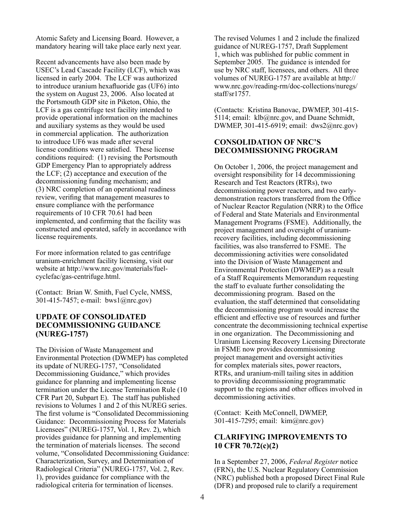Atomic Safety and Licensing Board. However, a mandatory hearing will take place early next year.

Recent advancements have also been made by USEC's Lead Cascade Facility (LCF), which was licensed in early 2004. The LCF was authorized to introduce uranium hexafluoride gas (UF6) into the system on August 23, 2006. Also located at the Portsmouth GDP site in Piketon, Ohio, the LCF is a gas centrifuge test facility intended to provide operational information on the machines and auxiliary systems as they would be used in commercial application. The authorization to introduce UF6 was made after several license conditions were satisfied. These license conditions required: (1) revising the Portsmouth GDP Emergency Plan to appropriately address the LCF; (2) acceptance and execution of the decommissioning funding mechanism; and (3) NRC completion of an operational readiness review, verifing that management measures to ensure compliance with the performance requirements of 10 CFR 70.61 had been implemented, and confirming that the facility was constructed and operated, safely in accordance with license requirements.

For more information related to gas centrifuge uranium-enrichment facility licensing, visit our website at http://www.nrc.gov/materials/fuelcyclefac/gas-centrifuge.html.

(Contact: Brian W. Smith, Fuel Cycle, NMSS, 301-415-7457; e-mail: bws1@nrc.gov)

## **UPDATE OF CONSOLIDATED DECOMMISSIONING GUIDANCE (NUREG-1757)**

The Division of Waste Management and Environmental Protection (DWMEP) has completed its update of NUREG-1757, "Consolidated Decommissioning Guidance," which provides guidance for planning and implementing license termination under the License Termination Rule (10 CFR Part 20, Subpart E). The staff has published revisions to Volumes 1 and 2 of this NUREG series. The first volume is "Consolidated Decommissioning Guidance: Decommissioning Process for Materials Licensees" (NUREG-1757, Vol. 1, Rev. 2), which provides guidance for planning and implementing the termination of materials licenses. The second volume, "Consolidated Decommissioning Guidance: Characterization, Survey, and Determination of Radiological Criteria" (NUREG-1757, Vol. 2, Rev. 1), provides guidance for compliance with the radiological criteria for termination of licenses.

The revised Volumes 1 and 2 include the finalized guidance of NUREG-1757, Draft Supplement 1, which was published for public comment in September 2005. The guidance is intended for use by NRC staff, licensees, and others. All three volumes of NUREG-1757 are available at http:// www.nrc.gov/reading-rm/doc-collections/nuregs/ staff/sr1757.

(Contacts: Kristina Banovac, DWMEP, 301-415- 5114; email: klb@nrc.gov, and Duane Schmidt, DWMEP, 301-415-6919; email: dws2@nrc.gov)

## **CONSOLIDATION OF NRC'S DECOMMISSIONING PROGRAM**

On October 1, 2006, the project management and oversight responsibility for 14 decommissioning Research and Test Reactors (RTRs), two decommissioning power reactors, and two earlydemonstration reactors transferred from the Office of Nuclear Reactor Regulation (NRR) to the Office of Federal and State Materials and Environmental Management Programs (FSME). Additionally, the project management and oversight of uraniumrecovery facilities, including decommissioning facilities, was also transferred to FSME. The decommissioning activities were consolidated into the Division of Waste Management and Environmental Protection (DWMEP) as a result of a Staff Requirements Memorandum requesting the staff to evaluate further consolidating the decommissioning program. Based on the evaluation, the staff determined that consolidating the decommissioning program would increase the efficient and effective use of resources and further concentrate the decommissioning technical expertise in one organization. The Decommissioning and Uranium Licensing Recovery Licensing Directorate in FSME now provides decommissioning project management and oversight activities for complex materials sites, power reactors, RTRs, and uranium-mill tailing sites in addition to providing decommissioning programmatic support to the regions and other offices involved in decommissioning activities.

(Contact: Keith McConnell, DWMEP, 301-415-7295; email: kim@nrc.gov)

## **CLARIFYING IMPROVEMENTS TO 10 CFR 70.72(c)(2)**

In a September 27, 2006, *Federal Register* notice (FRN), the U.S. Nuclear Regulatory Commission (NRC) published both a proposed Direct Final Rule (DFR) and proposed rule to clarify a requirement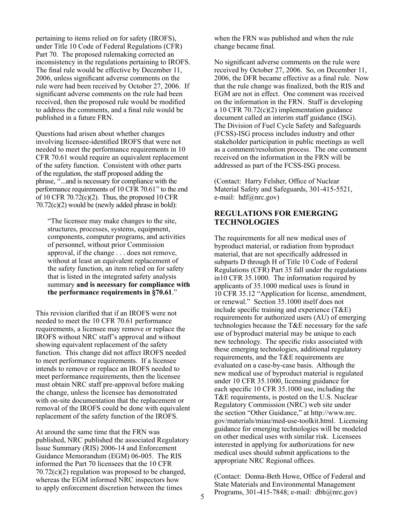pertaining to items relied on for safety (IROFS), under Title 10 Code of Federal Regulations (CFR) Part 70. The proposed rulemaking corrected an inconsistency in the regulations pertaining to IROFS. The final rule would be effective by December 11, 2006, unless significant adverse comments on the rule were had been received by October 27, 2006. If significant adverse comments on the rule had been received, then the proposed rule would be modified to address the comments, and a final rule would be published in a future FRN.

Questions had arisen about whether changes involving licensee-identified IROFS that were not needed to meet the performance requirements in 10 CFR 70.61 would require an equivalent replacement of the safety function. Consistent with other parts of the regulation, the staff proposed adding the phrase, ''...and is necessary for compliance with the performance requirements of 10 CFR 70.61" to the end of 10 CFR  $70.72(c)(2)$ . Thus, the proposed 10 CFR 70.72(c)(2) would be (newly added phrase in bold):

 "The licensee may make changes to the site, structures, processes, systems, equipment, components, computer programs, and activities of personnel, without prior Commission approval, if the change . . . does not remove, without at least an equivalent replacement of the safety function, an item relied on for safety that is listed in the integrated safety analysis summary **and is necessary for compliance with the performance requirements in §70.61**."

This revision clarified that if an IROFS were not needed to meet the 10 CFR 70.61 performance requirements, a licensee may remove or replace the IROFS without NRC staff's approval and without showing equivalent replacement of the safety function. This change did not affect IROFS needed to meet performance requirements. If a licensee intends to remove or replace an IROFS needed to meet performance requirements, then the licensee must obtain NRC staff pre-approval before making the change, unless the licensee has demonstrated with on-site documentation that the replacement or removal of the IROFS could be done with equivalent replacement of the safety function of the IROFS.

At around the same time that the FRN was published, NRC published the associated Regulatory Issue Summary (RIS) 2006-14 and Enforcement Guidance Memorandum (EGM) 06-005. The RIS informed the Part 70 licensees that the 10 CFR 70.72(c)(2) regulation was proposed to be changed, whereas the EGM informed NRC inspectors how to apply enforcement discretion between the times

when the FRN was published and when the rule change became final.

No significant adverse comments on the rule were received by October 27, 2006. So, on December 11, 2006, the DFR became effective as a final rule. Now that the rule change was finalized, both the RIS and EGM are not in effect. One comment was received on the information in the FRN. Staff is developing a 10 CFR 70.72(c)(2) implementation guidance document called an interim staff guidance (ISG). The Division of Fuel Cycle Safety and Safeguards (FCSS)-ISG process includes industry and other stakeholder participation in public meetings as well as a comment/resolution process. The one comment received on the information in the FRN will be addressed as part of the FCSS-ISG process.

(Contact: Harry Felsher, Office of Nuclear Material Safety and Safeguards, 301-415-5521, e-mail: hdf@nrc.gov)

## **REGULATIONS FOR EMERGING TECHNOLOGIES**

The requirements for all new medical uses of byproduct material, or radiation from byproduct material, that are not specifically addressed in subparts D through H of Title 10 Code of Federal Regulations (CFR) Part 35 fall under the regulations in10 CFR 35.1000. The information required by applicants of 35.1000 medical uses is found in 10 CFR 35.12 "Application for license, amendment, or renewal." Section 35.1000 itself does not include specific training and experience (T&E) requirements for authorized users (AU) of emerging technologies because the T&E necessary for the safe use of byproduct material may be unique to each new technology. The specific risks associated with these emerging technologies, additional regulatory requirements, and the T&E requirements are evaluated on a case-by-case basis. Although the new medical use of byproduct material is regulated under 10 CFR 35.1000, licensing guidance for each specific 10 CFR 35.1000 use, including the T&E requirements, is posted on the U.S. Nuclear Regulatory Commission (NRC) web site under the section "Other Guidance," at http://www.nrc. gov/materials/miau/med-use-toolkit.html. Licensing guidance for emerging technologies will be modeled on other medical uses with similar risk. Licensees interested in applying for authorizations for new medical uses should submit applications to the appropriate NRC Regional offices.

(Contact: Donna-Beth Howe, Office of Federal and State Materials and Environmental Management Programs, 301-415-7848; e-mail: dbh@nrc.gov)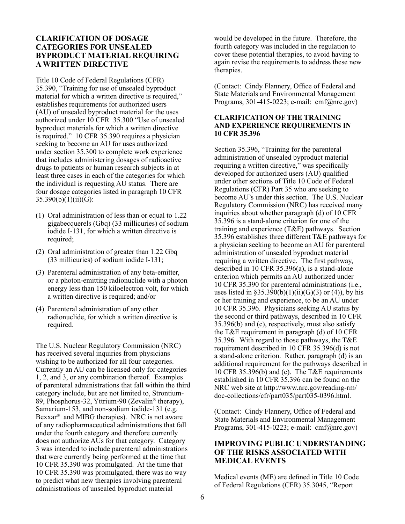## **CLARIFICATION OF DOSAGE CATEGORIES FOR UNSEALED BYPRODUCT MATERIAL REQUIRING A WRITTEN DIRECTIVE**

Title 10 Code of Federal Regulations (CFR) 35.390, "Training for use of unsealed byproduct material for which a written directive is required," establishes requirements for authorized users (AU) of unsealed byproduct material for the uses authorized under 10 CFR 35.300 "Use of unsealed byproduct materials for which a written directive is required." 10 CFR 35.390 requires a physician seeking to become an AU for uses authorized under section 35.300 to complete work experience that includes administering dosages of radioactive drugs to patients or human research subjects in at least three cases in each of the categories for which the individual is requesting AU status. There are four dosage categories listed in paragraph 10 CFR  $35.390(b)(1)(ii)(G):$ 

- (1) Oral administration of less than or equal to  $1.22$ gigabecquerels (Gbq) (33 millicuries) of sodium iodide I-131, for which a written directive is required;
- (2) Oral administration of greater than  $1.22$  Gbq (33 millicuries) of sodium iodide I-131;
- (3) Parenteral administration of any beta-emitter, or a photon-emitting radionuclide with a photon energy less than 150 kiloelectron volt, for which a written directive is required; and/or
- (4) Parenteral administration of any other radionuclide, for which a written directive is required.

The U.S. Nuclear Regulatory Commission (NRC) has received several inquiries from physicians wishing to be authorized for all four categories. Currently an AU can be licensed only for categories 1, 2, and 3, or any combination thereof. Examples of parenteral administrations that fall within the third category include, but are not limited to, Strontium-89, Phosphorus-32, Yttrium-90 (Zevalin® therapy), Samarium-153, and non-sodium iodide-131 (e.g. Bexxar® and MIBG therapies). NRC is not aware of any radiopharmaceutical administrations that fall under the fourth category and therefore currently does not authorize AUs for that category. Category 3 was intended to include parenteral administrations that were currently being performed at the time that 10 CFR 35.390 was promulgated. At the time that 10 CFR 35.390 was promulgated, there was no way to predict what new therapies involving parenteral administrations of unsealed byproduct material

would be developed in the future. Therefore, the fourth category was included in the regulation to cover these potential therapies, to avoid having to again revise the requirements to address these new therapies.

(Contact: Cindy Flannery, Office of Federal and State Materials and Environmental Management Programs, 301-415-0223; e-mail: cmf@nrc.gov)

#### **CLARIFICATION OF THE TRAINING AND EXPERIENCE REQUIREMENTS IN 10 CFR 35.396**

Section 35.396, "Training for the parenteral administration of unsealed byproduct material requiring a written directive," was specifically developed for authorized users (AU) qualified under other sections of Title 10 Code of Federal Regulations (CFR) Part 35 who are seeking to become AU's under this section. The U.S. Nuclear Regulatory Commission (NRC) has received many inquiries about whether paragraph (d) of 10 CFR 35.396 is a stand-alone criterion for one of the training and experience (T&E) pathways. Section 35.396 establishes three different T&E pathways for a physician seeking to become an AU for parenteral administration of unsealed byproduct material requiring a written directive. The first pathway, described in 10 CFR 35.396(a), is a stand-alone criterion which permits an AU authorized under 10 CFR 35.390 for parenteral administrations (i.e., uses listed in  $$35.390(b)(1)(ii)(G)(3)$  or (4)), by his or her training and experience, to be an AU under 10 CFR 35.396. Physicians seeking AU status by the second or third pathways, described in 10 CFR 35.396(b) and (c), respectively, must also satisfy the T&E requirement in paragraph (d) of 10 CFR 35.396. With regard to those pathways, the T&E requirement described in 10 CFR 35.396(d) is not a stand-alone criterion. Rather, paragraph (d) is an additional requirement for the pathways described in 10 CFR 35.396(b) and (c). The T&E requirements established in 10 CFR 35.396 can be found on the NRC web site at http://www.nrc.gov/reading-rm/ doc-collections/cfr/part035/part035-0396.html.

(Contact: Cindy Flannery, Office of Federal and State Materials and Environmental Management Programs, 301-415-0223; e-mail: cmf@nrc.gov)

## **IMPROVING PUBLIC UNDERSTANDING OF THE RISKS ASSOCIATED WITH MEDICAL EVENTS**

Medical events (ME) are defined in Title 10 Code of Federal Regulations (CFR) 35.3045, "Report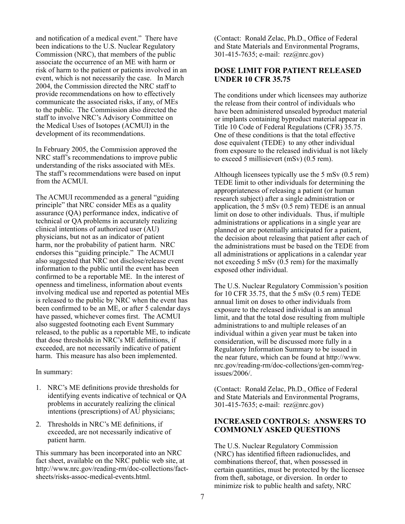and notification of a medical event." There have been indications to the U.S. Nuclear Regulatory Commission (NRC), that members of the public associate the occurrence of an ME with harm or risk of harm to the patient or patients involved in an event, which is not necessarily the case. In March 2004, the Commission directed the NRC staff to provide recommendations on how to effectively communicate the associated risks, if any, of MEs to the public. The Commission also directed the staff to involve NRC's Advisory Committee on the Medical Uses of Isotopes (ACMUI) in the development of its recommendations.

In February 2005, the Commission approved the NRC staff's recommendations to improve public understanding of the risks associated with MEs. The staff's recommendations were based on input from the ACMUI.

The ACMUI recommended as a general "guiding principle" that NRC consider MEs as a quality assurance (QA) performance index, indicative of technical or QA problems in accurately realizing clinical intentions of authorized user (AU) physicians, but not as an indicator of patient harm, nor the probability of patient harm. NRC endorses this "guiding principle." The ACMUI also suggested that NRC not disclose/release event information to the public until the event has been confirmed to be a reportable ME. In the interest of openness and timeliness, information about events involving medical use and reported as potential MEs is released to the public by NRC when the event has been confirmed to be an ME, or after 5 calendar days have passed, whichever comes first. The ACMUI also suggested footnoting each Event Summary released, to the public as a reportable ME, to indicate that dose thresholds in NRC's ME definitions, if exceeded, are not necessarily indicative of patient harm. This measure has also been implemented.

In summary:

- 1. NRC's ME definitions provide thresholds for identifying events indicative of technical or QA problems in accurately realizing the clinical intentions (prescriptions) of AU physicians;
- 2. Thresholds in NRC's ME definitions, if exceeded, are not necessarily indicative of patient harm.

This summary has been incorporated into an NRC fact sheet, available on the NRC public web site, at http://www.nrc.gov/reading-rm/doc-collections/factsheets/risks-assoc-medical-events.html.

(Contact: Ronald Zelac, Ph.D., Office of Federal and State Materials and Environmental Programs, 301-415-7635; e-mail: rez@nrc.gov)

## **DOSE LIMIT FOR PATIENT RELEASED UNDER 10 CFR 35.75**

The conditions under which licensees may authorize the release from their control of individuals who have been administered unsealed byproduct material or implants containing byproduct material appear in Title 10 Code of Federal Regulations (CFR) 35.75. One of these conditions is that the total effective dose equivalent (TEDE) to any other individual from exposure to the released individual is not likely to exceed 5 millisievert (mSv) (0.5 rem).

Although licensees typically use the 5 mSv (0.5 rem) TEDE limit to other individuals for determining the appropriateness of releasing a patient (or human research subject) after a single administration or application, the 5 mSv (0.5 rem) TEDE is an annual limit on dose to other individuals. Thus, if multiple administrations or applications in a single year are planned or are potentially anticipated for a patient, the decision about releasing that patient after each of the administrations must be based on the TEDE from all administrations or applications in a calendar year not exceeding 5 mSv (0.5 rem) for the maximally exposed other individual.

The U.S. Nuclear Regulatory Commission's position for 10 CFR 35.75, that the 5 mSv (0.5 rem) TEDE annual limit on doses to other individuals from exposure to the released individual is an annual limit, and that the total dose resulting from multiple administrations to and multiple releases of an individual within a given year must be taken into consideration, will be discussed more fully in a Regulatory Information Summary to be issued in the near future, which can be found at http://www. nrc.gov/reading-rm/doc-collections/gen-comm/regissues/2006/.

(Contact: Ronald Zelac, Ph.D., Office of Federal and State Materials and Environmental Programs, 301-415-7635; e-mail: rez@nrc.gov)

## **INCREASED CONTROLS: ANSWERS TO COMMONLY ASKED QUESTIONS**

The U.S. Nuclear Regulatory Commission (NRC) has identified fifteen radionuclides, and combinations thereof, that, when possessed in certain quantities, must be protected by the licensee from theft, sabotage, or diversion. In order to minimize risk to public health and safety, NRC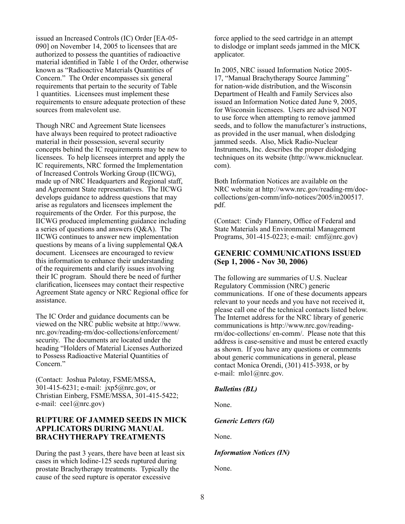issued an Increased Controls (IC) Order [EA-05- 090] on November 14, 2005 to licensees that are authorized to possess the quantities of radioactive material identified in Table 1 of the Order, otherwise known as "Radioactive Materials Quantities of Concern." The Order encompasses six general requirements that pertain to the security of Table 1 quantities. Licensees must implement these requirements to ensure adequate protection of these sources from malevolent use.

Though NRC and Agreement State licensees have always been required to protect radioactive material in their possession, several security concepts behind the IC requirements may be new to licensees. To help licensees interpret and apply the IC requirements, NRC formed the Implementation of Increased Controls Working Group (IICWG), made up of NRC Headquarters and Regional staff, and Agreement State representatives. The IICWG develops guidance to address questions that may arise as regulators and licensees implement the requirements of the Order. For this purpose, the IICWG produced implementing guidance including a series of questions and answers (Q&A). The IICWG continues to answer new implementation questions by means of a living supplemental Q&A document. Licensees are encouraged to review this information to enhance their understanding of the requirements and clarify issues involving their IC program. Should there be need of further clarification, licensees may contact their respective Agreement State agency or NRC Regional office for assistance.

The IC Order and guidance documents can be viewed on the NRC public website at http://www. nrc.gov/reading-rm/doc-collections/enforcement/ security. The documents are located under the heading "Holders of Material Licenses Authorized to Possess Radioactive Material Quantities of Concern."

(Contact: Joshua Palotay, FSME/MSSA, 301-415-6231; e-mail: jxp5@nrc.gov, or Christian Einberg, FSME/MSSA, 301-415-5422; e-mail: cee1@nrc.gov)

## **RUPTURE OF JAMMED SEEDS IN MICK APPLICATORS DURING MANUAL BRACHYTHERAPY TREATMENTS**

During the past 3 years, there have been at least six cases in which Iodine-125 seeds ruptured during prostate Brachytherapy treatments. Typically the cause of the seed rupture is operator excessive

force applied to the seed cartridge in an attempt to dislodge or implant seeds jammed in the MICK applicator.

In 2005, NRC issued Information Notice 2005- 17, "Manual Brachytherapy Source Jamming" for nation-wide distribution, and the Wisconsin Department of Health and Family Services also issued an Information Notice dated June 9, 2005, for Wisconsin licensees. Users are advised NOT to use force when attempting to remove jammed seeds, and to follow the manufacturer's instructions, as provided in the user manual, when dislodging jammed seeds. Also, Mick Radio-Nuclear Instruments, Inc. describes the proper dislodging techniques on its website (http://www.micknuclear. com).

Both Information Notices are available on the NRC website at http://www.nrc.gov/reading-rm/doccollections/gen-comm/info-notices/2005/in200517. pdf.

(Contact: Cindy Flannery, Office of Federal and State Materials and Environmental Management Programs, 301-415-0223; e-mail: cmf@nrc.gov)

## **GENERIC COMMUNICATIONS ISSUED (Sep 1, 2006 - Nov 30, 2006)**

The following are summaries of U.S. Nuclear Regulatory Commission (NRC) generic communications. If one of these documents appears relevant to your needs and you have not received it, please call one of the technical contacts listed below. The Internet address for the NRC library of generic communications is http://www.nrc.gov/readingrm/doc-collections/ en-comm/. Please note that this address is case-sensitive and must be entered exactly as shown. If you have any questions or comments about generic communications in general, please contact Monica Orendi, (301) 415-3938, or by e-mail: mlo1@nrc.gov.

#### *Bulletins (BL)*

None.

*Generic Letters (Gl)*

None.

*Information Notices (IN)*

None.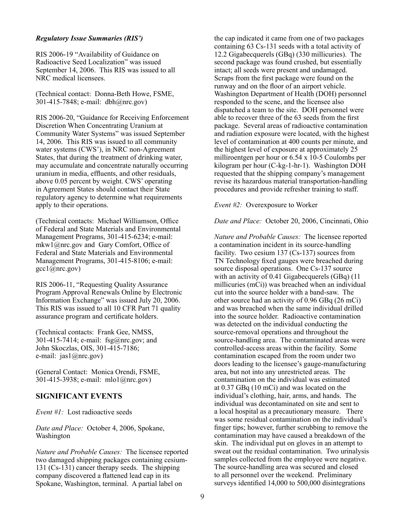#### *Regulatory Issue Summaries (RIS')*

RIS 2006-19 "Availability of Guidance on Radioactive Seed Localization" was issued September 14, 2006. This RIS was issued to all NRC medical licensees.

(Technical contact: Donna-Beth Howe, FSME, 301-415-7848; e-mail: dbh@nrc.gov)

RIS 2006-20, "Guidance for Receiving Enforcement Discretion When Concentrating Uranium at Community Water Systems" was issued September 14, 2006. This RIS was issued to all community water systems (CWS'), in NRC non-Agreement States, that during the treatment of drinking water, may accumulate and concentrate naturally occurring uranium in media, effluents, and other residuals, above 0.05 percent by weight. CWS' operating in Agreement States should contact their State regulatory agency to determine what requirements apply to their operations.

(Technical contacts: Michael Williamson, Office of Federal and State Materials and Environmental Management Programs, 301-415-6234; e-mail: mkw1@nrc.gov and Gary Comfort, Office of Federal and State Materials and Environmental Management Programs, 301-415-8106; e-mail:  $\gcd(\widehat{a}$ nrc.gov)

RIS 2006-11, "Requesting Quality Assurance Program Approval Renewals Online by Electronic Information Exchange" was issued July 20, 2006. This RIS was issued to all 10 CFR Part 71 quality assurance program and certificate holders.

(Technical contacts: Frank Gee, NMSS, 301-415-7414; e-mail: fsg@nrc.gov; and John Skoczlas, OIS, 301-415-7186; e-mail: jas1@nrc.gov)

(General Contact: Monica Orendi, FSME, 301-415-3938; e-mail: mlo1@nrc.gov)

#### **SIGNIFICANT EVENTS**

*Event #1:* Lost radioactive seeds

*Date and Place:* October 4, 2006, Spokane, Washington

*Nature and Probable Causes:* The licensee reported two damaged shipping packages containing cesium-131 (Cs-131) cancer therapy seeds. The shipping company discovered a flattened lead cap in its Spokane, Washington, terminal. A partial label on

the cap indicated it came from one of two packages containing 63 Cs-131 seeds with a total activity of 12.2 Gigabecquerels (GBq) (330 millicuries). The second package was found crushed, but essentially intact; all seeds were present and undamaged. Scraps from the first package were found on the runway and on the floor of an airport vehicle. Washington Department of Health (DOH) personnel responded to the scene, and the licensee also dispatched a team to the site. DOH personnel were able to recover three of the 63 seeds from the first package. Several areas of radioactive contamination and radiation exposure were located, with the highest level of contamination at 400 counts per minute, and the highest level of exposure at approximately 25 milliroentgen per hour or 6.54 x 10-5 Coulombs per kilogram per hour (C-kg-1-hr-1). Washington DOH requested that the shipping company's management revise its hazardous material transportation-handling procedures and provide refresher training to staff.

*Event #2:* Overexposure to Worker

*Date and Place:* October 20, 2006, Cincinnati, Ohio

*Nature and Probable Causes:* The licensee reported a contamination incident in its source-handling facility. Two cesium 137 (Cs-137) sources from TN Technology fixed gauges were breached during source disposal operations. One Cs-137 source with an activity of 0.41 Gigabecquerels (GBq) (11) millicuries (mCi)) was breached when an individual cut into the source holder with a band-saw. The other source had an activity of 0.96 GBq (26 mCi) and was breached when the same individual drilled into the source holder. Radioactive contamination was detected on the individual conducting the source-removal operations and throughout the source-handling area. The contaminated areas were controlled-access areas within the facility. Some contamination escaped from the room under two doors leading to the licensee's gauge-manufacturing area, but not into any unrestricted areas. The contamination on the individual was estimated at 0.37 GBq (10 mCi) and was located on the individual's clothing, hair, arms, and hands. The individual was decontaminated on site and sent to a local hospital as a precautionary measure. There was some residual contamination on the individual's finger tips; however, further scrubbing to remove the contamination may have caused a breakdown of the skin. The individual put on gloves in an attempt to sweat out the residual contamination. Two urinalysis samples collected from the employee were negative. The source-handling area was secured and closed to all personnel over the weekend. Preliminary surveys identified 14,000 to 500,000 disintegrations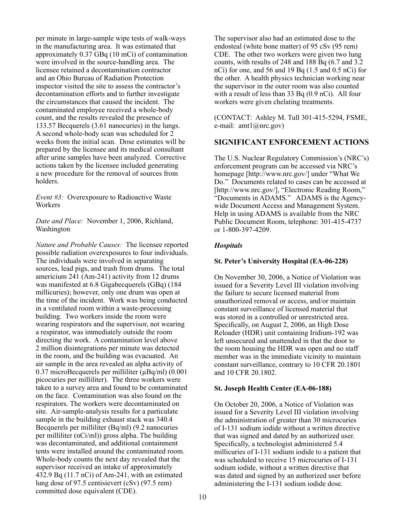per minute in large-sample wipe tests of walk-ways in the manufacturing area. It was estimated that approximately 0.37 GBq (10 mCi) of contamination were involved in the source-handling area. The licensee retained a decontamination contractor and an Ohio Bureau of Radiation Protection inspector visited the site to assess the contractor's decontamination efforts and to further investigate the circumstances that caused the incident. The contaminated employee received a whole-body count, and the results revealed the presence of 133.57 Becquerels (3.61 nanocuries) in the lungs. A second whole-body scan was scheduled for 2 weeks from the initial scan. Dose estimates will be prepared by the licensee and its medical consultant after urine samples have been analyzed. Corrective actions taken by the licensee included generating a new procedure for the removal of sources from holders.

*Event #3:* Overexposure to Radioactive Waste Workers

*Date and Place:* November 1, 2006, Richland, Washington

*Nature and Probable Causes:* The licensee reported possible radiation overexposures to four individuals. The individuals were involved in separating sources, lead pigs, and trash from drums. The total americium 241 (Am-241) activity from 12 drums was manifested at 6.8 Gigabecquerels (GBq) (184 millicuries); however, only one drum was open at the time of the incident. Work was being conducted in a ventilated room within a waste-processing building. Two workers inside the room were wearing respirators and the supervisor, not wearing a respirator, was immediately outside the room directing the work. A contamination level above 2 million disintegrations per minute was detected in the room, and the building was evacuated. An air sample in the area revealed an alpha activity of 0.37 microBecquerels per milliliter (μBq/ml) (0.001 picocuries per milliliter). The three workers were taken to a survey area and found to be contaminated on the face. Contamination was also found on the respirators. The workers were decontaminated on site. Air-sample-analysis results for a particulate sample in the building exhaust stack was 340.4 Becquerels per milliliter (Bq/ml) (9.2 nanocuries per milliliter (nCi/ml)) gross alpha. The building was decontaminated, and additional containment tents were installed around the contaminated room. Whole-body counts the next day revealed that the supervisor received an intake of approximately 432.9 Bq (11.7 nCi) of Am-241, with an estimated lung dose of 97.5 centisievert (cSv) (97.5 rem) committed dose equivalent (CDE).

The supervisor also had an estimated dose to the endosteal (white bone matter) of 95 cSv (95 rem) CDE. The other two workers were given two lung counts, with results of 248 and 188 Bq (6.7 and 3.2 nCi) for one, and 56 and 19 Bq (1.5 and 0.5 nCi) for the other. A health physics technician working near the supervisor in the outer room was also counted with a result of less than 33 Bq (0.9 nCi). All four workers were given chelating treatments.

(CONTACT: Ashley M. Tull 301-415-5294, FSME, e-mail: amt1@nrc.gov)

#### **SIGNIFICANT ENFORCEMENT ACTIONS**

The U.S. Nuclear Regulatory Commission's (NRC's) enforcement program can be accessed via NRC's homepage [http://www.nrc.gov/] under "What We Do." Documents related to cases can be accessed at [http://www.nrc.gov/], "Electronic Reading Room," "Documents in ADAMS." ADAMS is the Agencywide Document Access and Management System. Help in using ADAMS is available from the NRC Public Document Room, telephone: 301-415-4737 or 1-800-397-4209.

## *Hospitals*

#### **St. Peter's University Hospital (EA-06-228)**

On November 30, 2006, a Notice of Violation was issued for a Severity Level III violation involving the failure to secure licensed material from unauthorized removal or access, and/or maintain constant surveillance of licensed material that was stored in a controlled or unrestricted area. Specifically, on August 2, 2006, an High Dose Reloader (HDR) unit containing Iridium-192 was left unsecured and unattended in that the door to the room housing the HDR was open and no staff member was in the immediate vicinity to maintain constant surveillance, contrary to 10 CFR 20.1801 and 10 CFR 20.1802.

#### **St. Joseph Health Center (EA-06-188)**

On October 20, 2006, a Notice of Violation was issued for a Severity Level III violation involving the administration of greater than 30 microcuries of I-131 sodium iodide without a written directive that was signed and dated by an authorized user. Specifically, a technologist administered 5.4 millicuries of I-131 sodium iodide to a patient that was scheduled to receive 15 microcuries of I-131 sodium iodide, without a written directive that was dated and signed by an authorized user before administering the I-131 sodium iodide dose.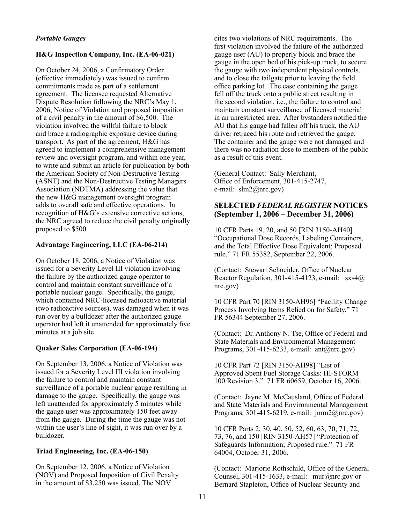## *Portable Gauges*

#### **H&G Inspection Company, Inc. (EA-06-021)**

On October 24, 2006, a Confirmatory Order (effective immediately) was issued to confirm commitments made as part of a settlement agreement. The licensee requested Alternative Dispute Resolution following the NRC's May 1, 2006, Notice of Violation and proposed imposition of a civil penalty in the amount of \$6,500. The violation involved the willful failure to block and brace a radiographic exposure device during transport. As part of the agreement, H&G has agreed to implement a comprehensive management review and oversight program, and within one year, to write and submit an article for publication by both the American Society of Non-Destructive Testing (ASNT) and the Non-Destructive Testing Managers Association (NDTMA) addressing the value that the new H&G management oversight program adds to overall safe and effective operations. In recognition of H&G's extensive corrective actions, the NRC agreed to reduce the civil penalty originally proposed to \$500.

#### **Advantage Engineering, LLC (EA-06-214)**

On October 18, 2006, a Notice of Violation was issued for a Severity Level III violation involving the failure by the authorized gauge operator to control and maintain constant surveillance of a portable nuclear gauge. Specifically, the gauge, which contained NRC-licensed radioactive material (two radioactive sources), was damaged when it was run over by a bulldozer after the authorized gauge operator had left it unattended for approximately five minutes at a job site.

#### **Quaker Sales Corporation (EA-06-194)**

On September 13, 2006, a Notice of Violation was issued for a Severity Level III violation involving the failure to control and maintain constant surveillance of a portable nuclear gauge resulting in damage to the gauge. Specifically, the gauge was left unattended for approximately 5 minutes while the gauge user was approximately 150 feet away from the gauge. During the time the gauge was not within the user's line of sight, it was run over by a bulldozer.

#### **Triad Engineering, Inc. (EA-06-150)**

On September 12, 2006, a Notice of Violation (NOV) and Proposed Imposition of Civil Penalty in the amount of \$3,250 was issued. The NOV

cites two violations of NRC requirements. The first violation involved the failure of the authorized gauge user (AU) to properly block and brace the gauge in the open bed of his pick-up truck, to secure the gauge with two independent physical controls, and to close the tailgate prior to leaving the field office parking lot. The case containing the gauge fell off the truck onto a public street resulting in the second violation, i.e., the failure to control and maintain constant surveillance of licensed material in an unrestricted area. After bystanders notified the AU that his gauge had fallen off his truck, the AU driver retraced his route and retrieved the gauge. The container and the gauge were not damaged and there was no radiation dose to members of the public as a result of this event.

(General Contact: Sally Merchant, Office of Enforcement, 301-415-2747, e-mail: slm2@nrc.gov)

## **SELECTED** *FEDERALREGISTER* **NOTICES (September 1, 2006 – December 31, 2006)**

10 CFR Parts 19, 20, and 50 [RIN 3150-AH40] "Occupational Dose Records, Labeling Containers, and the Total Effective Dose Equivalent; Proposed rule." 71 FR 55382, September 22, 2006.

(Contact: Stewart Schneider, Office of Nuclear Reactor Regulation, 301-415-4123, e-mail:  $ss4@$ nrc.gov)

10 CFR Part 70 [RIN 3150-AH96] "Facility Change Process Involving Items Relied on for Safety." 71 FR 56344 September 27, 2006.

(Contact: Dr. Anthony N. Tse, Office of Federal and State Materials and Environmental Management Programs, 301-415-6233, e-mail: ant@nrc.gov)

10 CFR Part 72 [RIN 3150-AH98] "List of Approved Spent Fuel Storage Casks: HI-STORM 100 Revision 3." 71 FR 60659, October 16, 2006.

(Contact: Jayne M. McCausland, Office of Federal and State Materials and Environmental Management Programs, 301-415-6219, e-mail: jmm2@nrc.gov)

10 CFR Parts 2, 30, 40, 50, 52, 60, 63, 70, 71, 72, 73, 76, and 150 [RIN 3150-AH57] "Protection of Safeguards Information; Proposed rule." 71 FR 64004, October 31, 2006.

(Contact: Marjorie Rothschild, Office of the General Counsel, 301-415-1633, e-mail: mur@nrc.gov or Bernard Stapleton, Office of Nuclear Security and